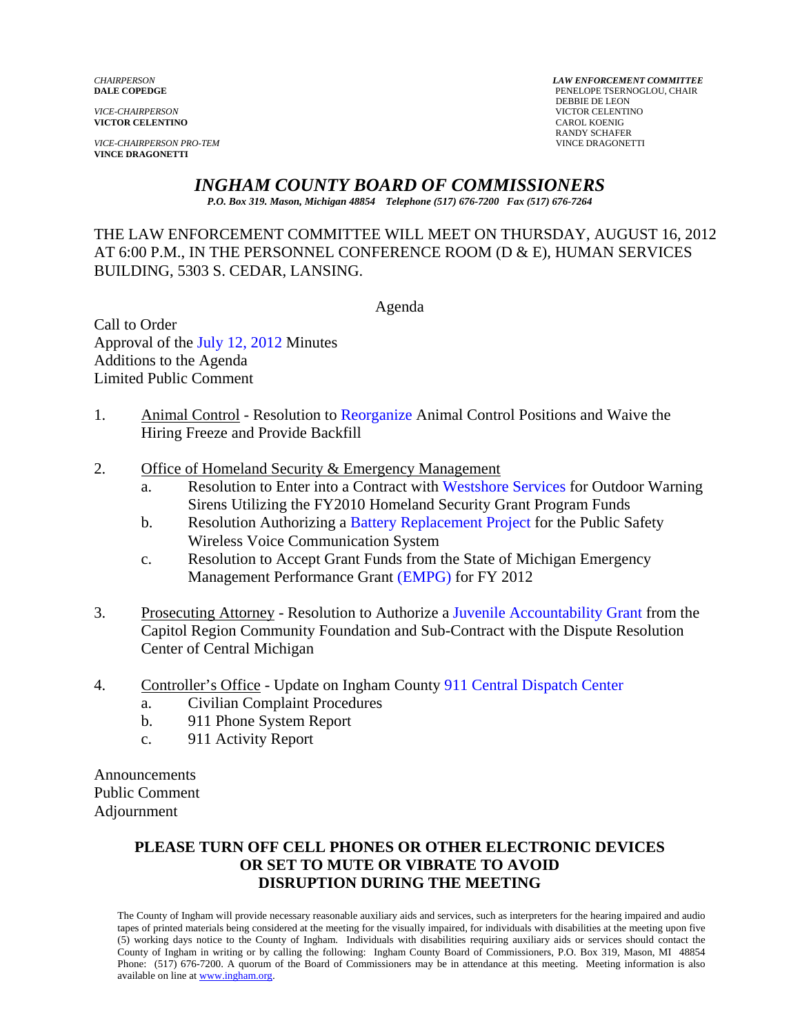**VICTOR CELENTINO** 

*VICE-CHAIRPERSON PRO-TEM* VINCE DRAGONETTI **VINCE DRAGONETTI** 

*CHAIRPERSON LAW ENFORCEMENT COMMITTEE* PENELOPE TSERNOGLOU, CHAIR DEBBIE DE LEON *VICTOR CELENTINO*<br>CAROL **KOENIG** RANDY SCHAFER

# *INGHAM COUNTY BOARD OF COMMISSIONERS*

*P.O. Box 319. Mason, Michigan 48854 Telephone (517) 676-7200 Fax (517) 676-7264*

#### THE LAW ENFORCEMENT COMMITTEE WILL MEET ON THURSDAY, AUGUST 16, 2012 AT 6:00 P.M., IN THE PERSONNEL CONFERENCE ROOM (D & E), HUMAN SERVICES BUILDING, 5303 S. CEDAR, LANSING.

Agenda

Call to Order Approval o[f the July 12, 2012 Minutes](#page-1-0)  Additions to the Agenda Limited Public Comment

- 1. Animal Control Resolutio[n to Reorganize Animal Co](#page-6-0)ntrol Positions and Waive the Hiring Freeze and Provide Backfill
- 2. Office of Homeland Security & Emergency Management
	- a. Resolution to Enter into a Contract wit[h Westshore Services for Outdoo](#page-9-0)r Warning Sirens Utilizing the FY2010 Homeland Security Grant Program Funds
	- b. Resolution Authorizing [a Battery Replacement Project for t](#page-11-0)he Public Safety Wireless Voice Communication System
	- c. Resolution to Accept Grant Funds from the State of Michigan Emergency Management Performance G[rant \(EMPG\) for FY 2012](#page-13-0)
- 3. Prosecuting Attorney Resolution to Authorize [a Juvenile Accountability Grant from the](#page-15-0)  Capitol Region Community Foundation and Sub-Contract with the Dispute Resolution Center of Central Michigan
- 4. Controller's Office Update on Ingham Coun[ty 911 Central Dispatch Center](#page-18-0) 
	- a. Civilian Complaint Procedures
	- b. 911 Phone System Report
	- c. 911 Activity Report

Announcements Public Comment Adjournment

#### **PLEASE TURN OFF CELL PHONES OR OTHER ELECTRONIC DEVICES OR SET TO MUTE OR VIBRATE TO AVOID DISRUPTION DURING THE MEETING**

The County of Ingham will provide necessary reasonable auxiliary aids and services, such as interpreters for the hearing impaired and audio tapes of printed materials being considered at the meeting for the visually impaired, for individuals with disabilities at the meeting upon five (5) working days notice to the County of Ingham. Individuals with disabilities requiring auxiliary aids or services should contact the County of Ingham in writing or by calling the following: Ingham County Board of Commissioners, P.O. Box 319, Mason, MI 48854 Phone: (517) 676-7200. A quorum of the Board of Commissioners may be in attendance at this meeting. Meeting information is also available on line at www.ingham.org.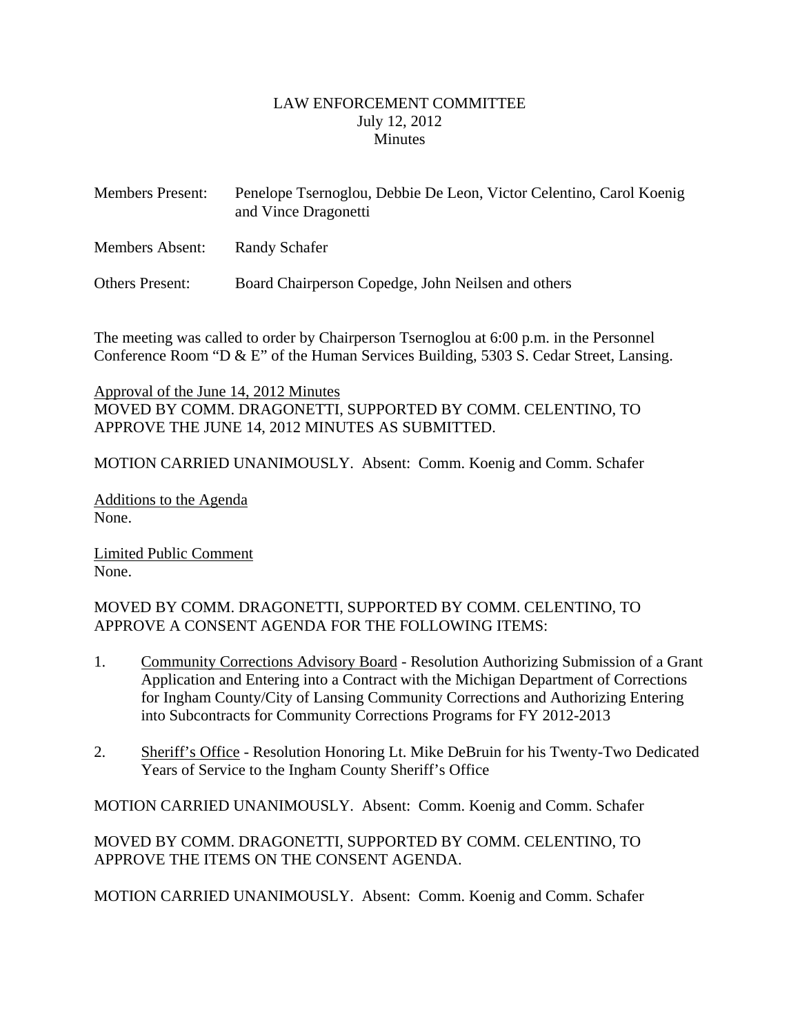#### LAW ENFORCEMENT COMMITTEE July 12, 2012 **Minutes**

<span id="page-1-0"></span>

| <b>Members Present:</b> | Penelope Tsernoglou, Debbie De Leon, Victor Celentino, Carol Koenig<br>and Vince Dragonetti |
|-------------------------|---------------------------------------------------------------------------------------------|
| Members Absent:         | Randy Schafer                                                                               |
| <b>Others Present:</b>  | Board Chairperson Copedge, John Neilsen and others                                          |

The meeting was called to order by Chairperson Tsernoglou at 6:00 p.m. in the Personnel Conference Room "D & E" of the Human Services Building, 5303 S. Cedar Street, Lansing.

Approval of the June 14, 2012 Minutes MOVED BY COMM. DRAGONETTI, SUPPORTED BY COMM. CELENTINO, TO APPROVE THE JUNE 14, 2012 MINUTES AS SUBMITTED.

MOTION CARRIED UNANIMOUSLY. Absent: Comm. Koenig and Comm. Schafer

Additions to the Agenda None.

Limited Public Comment None.

#### MOVED BY COMM. DRAGONETTI, SUPPORTED BY COMM. CELENTINO, TO APPROVE A CONSENT AGENDA FOR THE FOLLOWING ITEMS:

- 1. Community Corrections Advisory Board Resolution Authorizing Submission of a Grant Application and Entering into a Contract with the Michigan Department of Corrections for Ingham County/City of Lansing Community Corrections and Authorizing Entering into Subcontracts for Community Corrections Programs for FY 2012-2013
- 2. Sheriff's Office Resolution Honoring Lt. Mike DeBruin for his Twenty-Two Dedicated Years of Service to the Ingham County Sheriff's Office

MOTION CARRIED UNANIMOUSLY. Absent: Comm. Koenig and Comm. Schafer

MOVED BY COMM. DRAGONETTI, SUPPORTED BY COMM. CELENTINO, TO APPROVE THE ITEMS ON THE CONSENT AGENDA.

MOTION CARRIED UNANIMOUSLY. Absent: Comm. Koenig and Comm. Schafer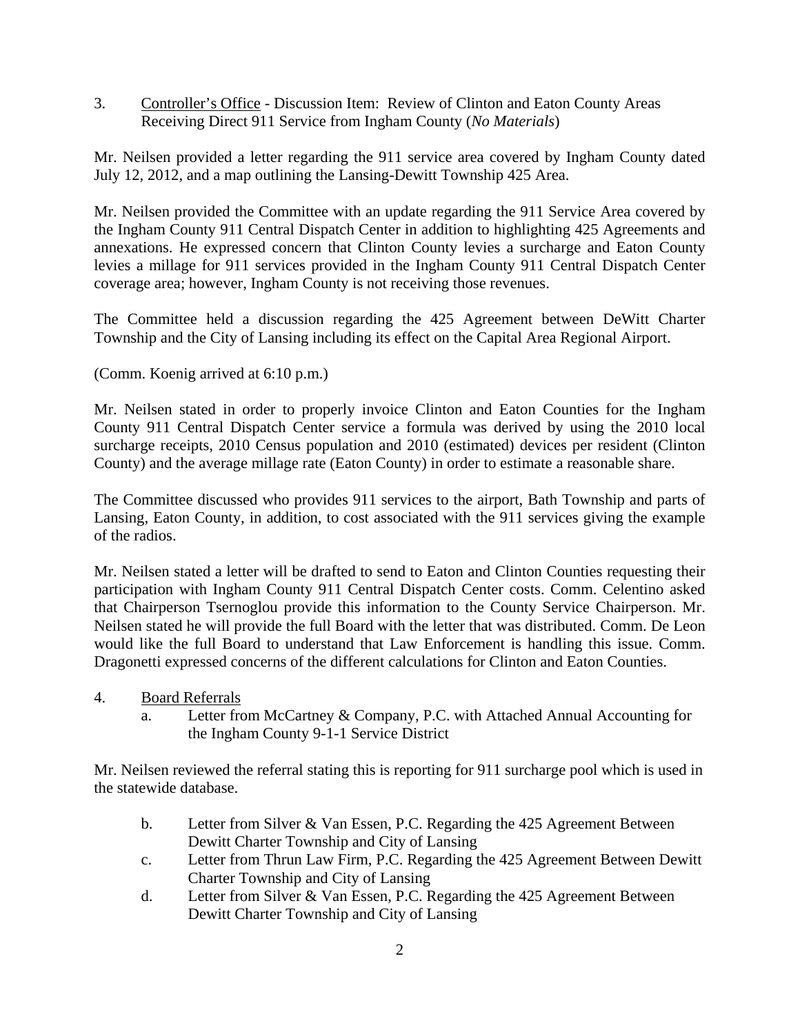3. Controller's Office - Discussion Item: Review of Clinton and Eaton County Areas Receiving Direct 911 Service from Ingham County (*No Materials*)

Mr. Neilsen provided a letter regarding the 911 service area covered by Ingham County dated July 12, 2012, and a map outlining the Lansing-Dewitt Township 425 Area.

Mr. Neilsen provided the Committee with an update regarding the 911 Service Area covered by the Ingham County 911 Central Dispatch Center in addition to highlighting 425 Agreements and annexations. He expressed concern that Clinton County levies a surcharge and Eaton County levies a millage for 911 services provided in the Ingham County 911 Central Dispatch Center coverage area; however, Ingham County is not receiving those revenues.

The Committee held a discussion regarding the 425 Agreement between DeWitt Charter Township and the City of Lansing including its effect on the Capital Area Regional Airport.

(Comm. Koenig arrived at 6:10 p.m.)

Mr. Neilsen stated in order to properly invoice Clinton and Eaton Counties for the Ingham County 911 Central Dispatch Center service a formula was derived by using the 2010 local surcharge receipts, 2010 Census population and 2010 (estimated) devices per resident (Clinton County) and the average millage rate (Eaton County) in order to estimate a reasonable share.

The Committee discussed who provides 911 services to the airport, Bath Township and parts of Lansing, Eaton County, in addition, to cost associated with the 911 services giving the example of the radios.

Mr. Neilsen stated a letter will be drafted to send to Eaton and Clinton Counties requesting their participation with Ingham County 911 Central Dispatch Center costs. Comm. Celentino asked that Chairperson Tsernoglou provide this information to the County Service Chairperson. Mr. Neilsen stated he will provide the full Board with the letter that was distributed. Comm. De Leon would like the full Board to understand that Law Enforcement is handling this issue. Comm. Dragonetti expressed concerns of the different calculations for Clinton and Eaton Counties.

- 4. Board Referrals
	- a. Letter from McCartney & Company, P.C. with Attached Annual Accounting for the Ingham County 9-1-1 Service District

Mr. Neilsen reviewed the referral stating this is reporting for 911 surcharge pool which is used in the statewide database.

- b. Letter from Silver & Van Essen, P.C. Regarding the 425 Agreement Between Dewitt Charter Township and City of Lansing
- c. Letter from Thrun Law Firm, P.C. Regarding the 425 Agreement Between Dewitt Charter Township and City of Lansing
- d. Letter from Silver & Van Essen, P.C. Regarding the 425 Agreement Between Dewitt Charter Township and City of Lansing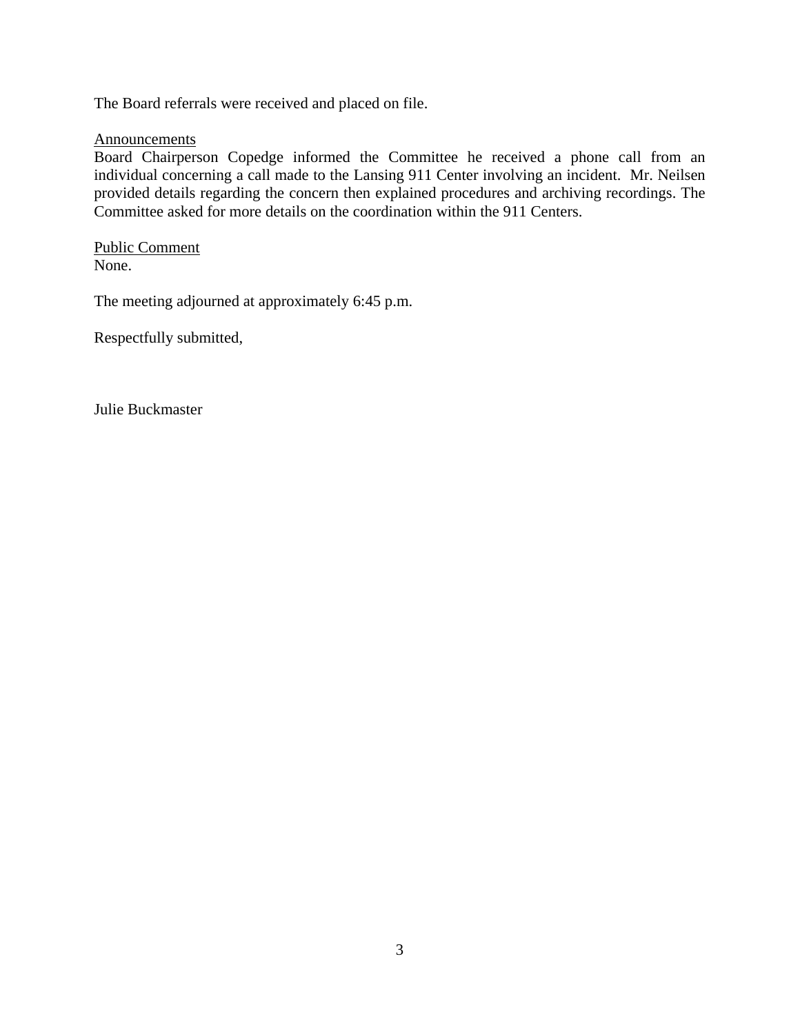The Board referrals were received and placed on file.

#### **Announcements**

Board Chairperson Copedge informed the Committee he received a phone call from an individual concerning a call made to the Lansing 911 Center involving an incident. Mr. Neilsen provided details regarding the concern then explained procedures and archiving recordings. The Committee asked for more details on the coordination within the 911 Centers.

Public Comment None.

The meeting adjourned at approximately 6:45 p.m.

Respectfully submitted,

Julie Buckmaster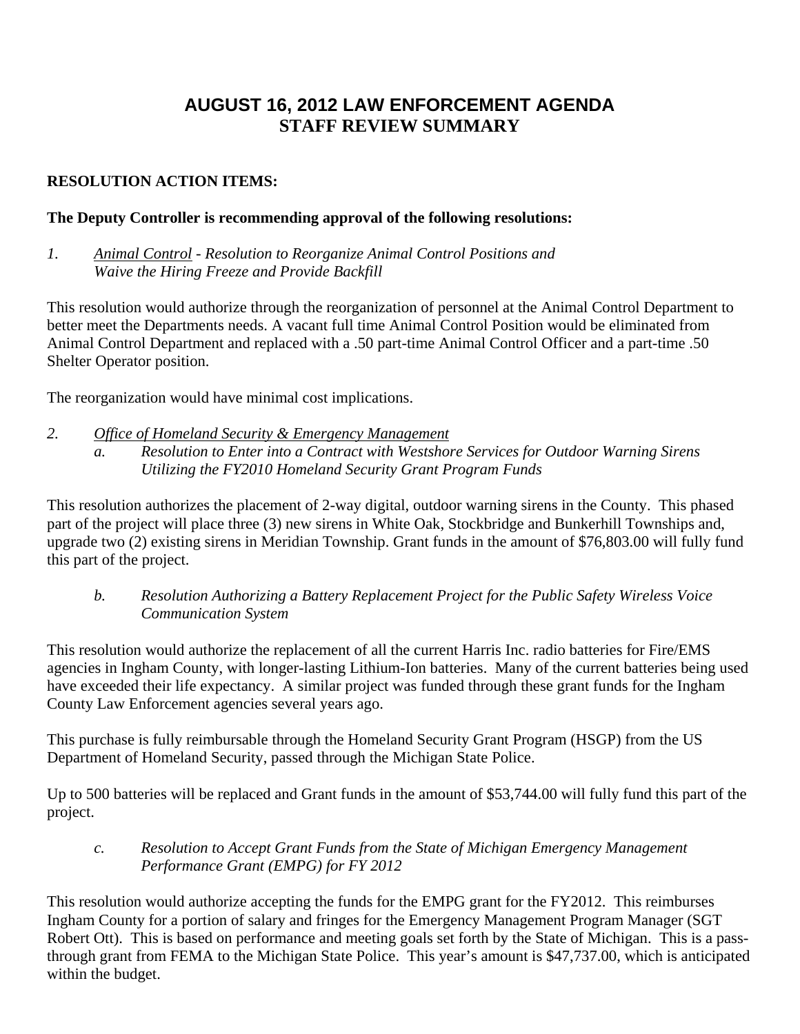# **AUGUST 16, 2012 LAW ENFORCEMENT AGENDA STAFF REVIEW SUMMARY**

## **RESOLUTION ACTION ITEMS:**

#### **The Deputy Controller is recommending approval of the following resolutions:**

*1. Animal Control - Resolution to Reorganize Animal Control Positions and Waive the Hiring Freeze and Provide Backfill* 

This resolution would authorize through the reorganization of personnel at the Animal Control Department to better meet the Departments needs. A vacant full time Animal Control Position would be eliminated from Animal Control Department and replaced with a .50 part-time Animal Control Officer and a part-time .50 Shelter Operator position.

The reorganization would have minimal cost implications.

- *2. Office of Homeland Security & Emergency Management*
	- *a. Resolution to Enter into a Contract with Westshore Services for Outdoor Warning Sirens Utilizing the FY2010 Homeland Security Grant Program Funds*

This resolution authorizes the placement of 2-way digital, outdoor warning sirens in the County. This phased part of the project will place three (3) new sirens in White Oak, Stockbridge and Bunkerhill Townships and, upgrade two (2) existing sirens in Meridian Township. Grant funds in the amount of \$76,803.00 will fully fund this part of the project.

*b. Resolution Authorizing a Battery Replacement Project for the Public Safety Wireless Voice Communication System* 

This resolution would authorize the replacement of all the current Harris Inc. radio batteries for Fire/EMS agencies in Ingham County, with longer-lasting Lithium-Ion batteries. Many of the current batteries being used have exceeded their life expectancy. A similar project was funded through these grant funds for the Ingham County Law Enforcement agencies several years ago.

This purchase is fully reimbursable through the Homeland Security Grant Program (HSGP) from the US Department of Homeland Security, passed through the Michigan State Police.

Up to 500 batteries will be replaced and Grant funds in the amount of \$53,744.00 will fully fund this part of the project.

*c. Resolution to Accept Grant Funds from the State of Michigan Emergency Management Performance Grant (EMPG) for FY 2012* 

This resolution would authorize accepting the funds for the EMPG grant for the FY2012. This reimburses Ingham County for a portion of salary and fringes for the Emergency Management Program Manager (SGT Robert Ott). This is based on performance and meeting goals set forth by the State of Michigan. This is a passthrough grant from FEMA to the Michigan State Police. This year's amount is \$47,737.00, which is anticipated within the budget.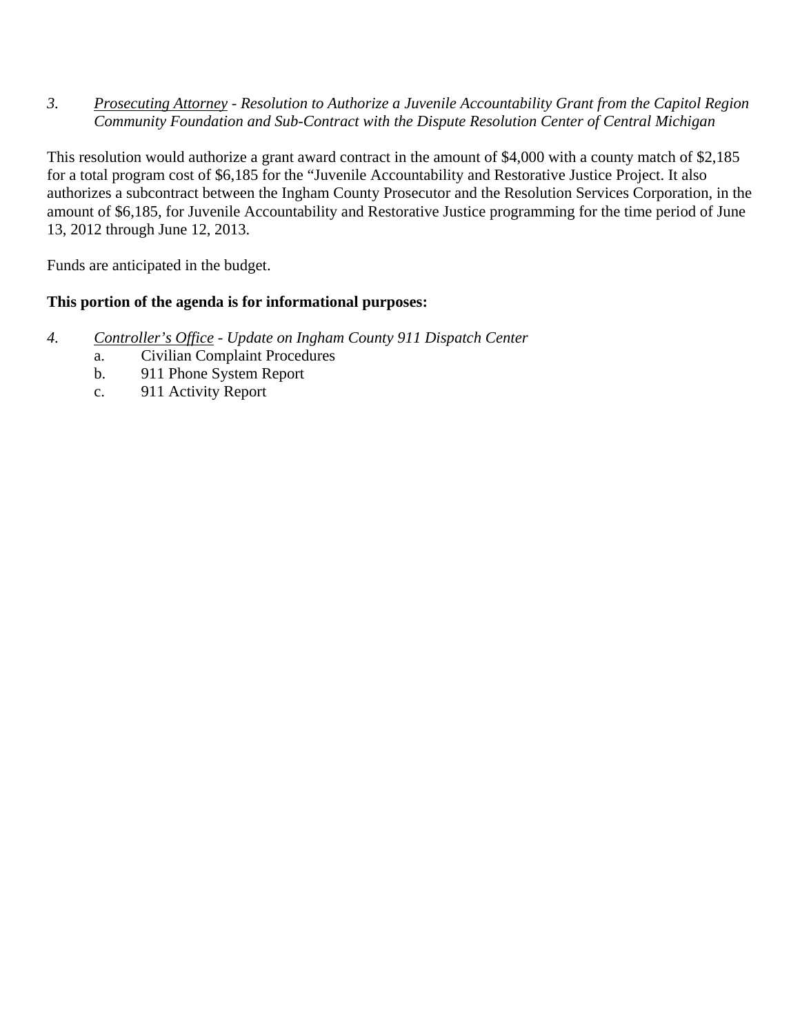*3. Prosecuting Attorney - Resolution to Authorize a Juvenile Accountability Grant from the Capitol Region Community Foundation and Sub-Contract with the Dispute Resolution Center of Central Michigan* 

This resolution would authorize a grant award contract in the amount of \$4,000 with a county match of \$2,185 for a total program cost of \$6,185 for the "Juvenile Accountability and Restorative Justice Project. It also authorizes a subcontract between the Ingham County Prosecutor and the Resolution Services Corporation, in the amount of \$6,185, for Juvenile Accountability and Restorative Justice programming for the time period of June 13, 2012 through June 12, 2013.

Funds are anticipated in the budget.

#### **This portion of the agenda is for informational purposes:**

- *4. Controller's Office Update on Ingham County 911 Dispatch Center* 
	- a. Civilian Complaint Procedures
	- b. 911 Phone System Report
	- c. 911 Activity Report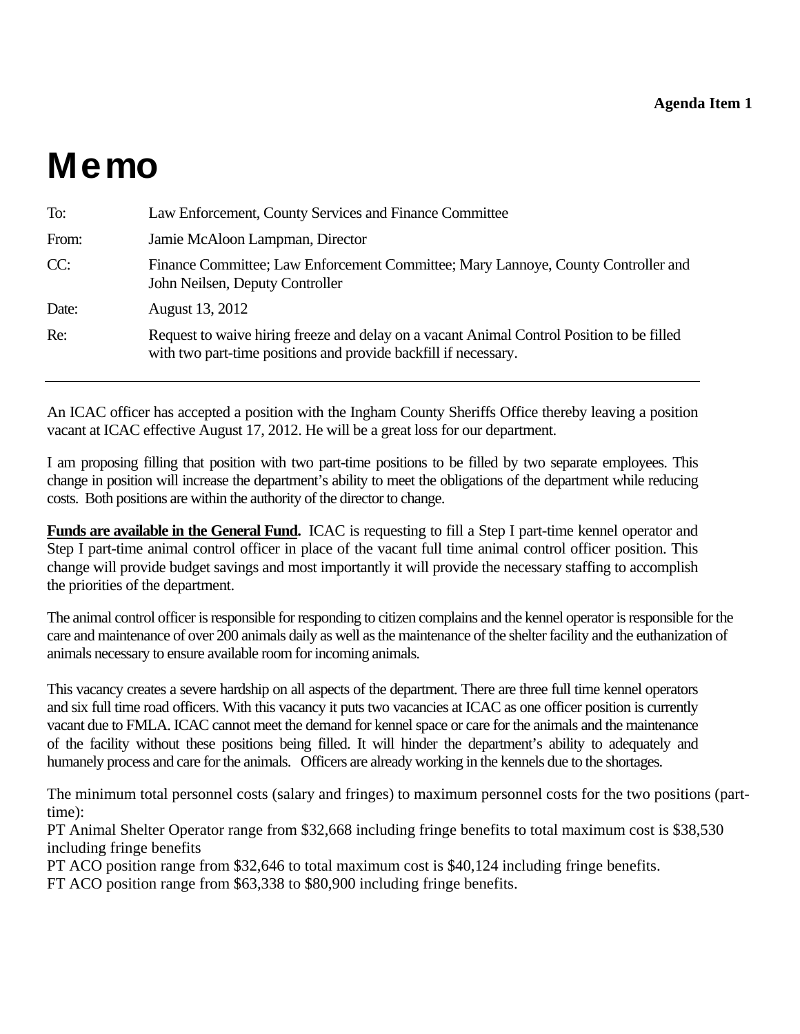# <span id="page-6-0"></span>Memo

| To:   | Law Enforcement, County Services and Finance Committee                                                                                                       |
|-------|--------------------------------------------------------------------------------------------------------------------------------------------------------------|
| From: | Jamie McAloon Lampman, Director                                                                                                                              |
| CC:   | Finance Committee; Law Enforcement Committee; Mary Lannoye, County Controller and<br>John Neilsen, Deputy Controller                                         |
| Date: | August 13, 2012                                                                                                                                              |
| Re:   | Request to waive hiring freeze and delay on a vacant Animal Control Position to be filled<br>with two part-time positions and provide backfill if necessary. |

An ICAC officer has accepted a position with the Ingham County Sheriffs Office thereby leaving a position vacant at ICAC effective August 17, 2012. He will be a great loss for our department.

I am proposing filling that position with two part-time positions to be filled by two separate employees. This change in position will increase the department's ability to meet the obligations of the department while reducing costs. Both positions are within the authority of the director to change.

**Funds are available in the General Fund.** ICAC is requesting to fill a Step I part-time kennel operator and Step I part-time animal control officer in place of the vacant full time animal control officer position. This change will provide budget savings and most importantly it will provide the necessary staffing to accomplish the priorities of the department.

The animal control officer is responsible for responding to citizen complains and the kennel operator is responsible for the care and maintenance of over 200 animals daily as well as the maintenance of the shelter facility and the euthanization of animals necessary to ensure available room for incoming animals.

This vacancy creates a severe hardship on all aspects of the department. There are three full time kennel operators and six full time road officers. With this vacancy it puts two vacancies at ICAC as one officer position is currently vacant due to FMLA. ICAC cannot meet the demand for kennel space or care for the animals and the maintenance of the facility without these positions being filled. It will hinder the department's ability to adequately and humanely process and care for the animals. Officers are already working in the kennels due to the shortages.

The minimum total personnel costs (salary and fringes) to maximum personnel costs for the two positions (parttime):

PT Animal Shelter Operator range from \$32,668 including fringe benefits to total maximum cost is \$38,530 including fringe benefits

PT ACO position range from \$32,646 to total maximum cost is \$40,124 including fringe benefits.

FT ACO position range from \$63,338 to \$80,900 including fringe benefits.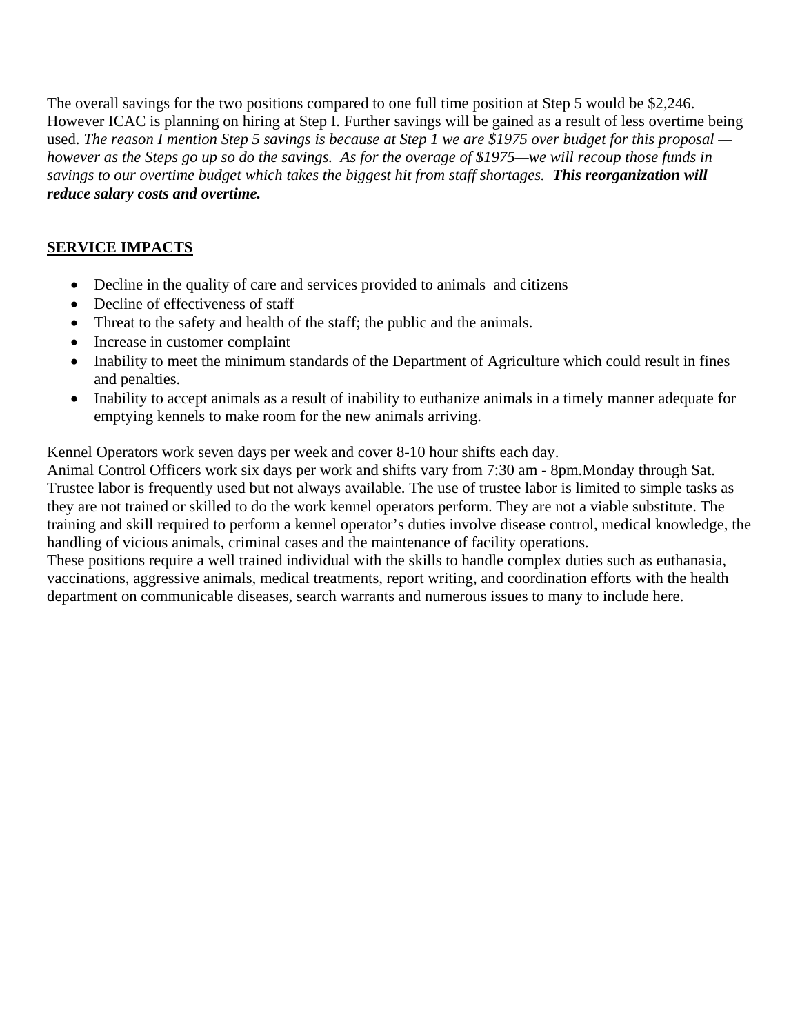The overall savings for the two positions compared to one full time position at Step 5 would be \$2,246. However ICAC is planning on hiring at Step I. Further savings will be gained as a result of less overtime being used. *The reason I mention Step 5 savings is because at Step 1 we are \$1975 over budget for this proposal however as the Steps go up so do the savings. As for the overage of \$1975—we will recoup those funds in savings to our overtime budget which takes the biggest hit from staff shortages. This reorganization will reduce salary costs and overtime.*

# **SERVICE IMPACTS**

- Decline in the quality of care and services provided to animals and citizens
- Decline of effectiveness of staff
- Threat to the safety and health of the staff; the public and the animals.
- Increase in customer complaint
- Inability to meet the minimum standards of the Department of Agriculture which could result in fines and penalties.
- Inability to accept animals as a result of inability to euthanize animals in a timely manner adequate for emptying kennels to make room for the new animals arriving.

Kennel Operators work seven days per week and cover 8-10 hour shifts each day.

Animal Control Officers work six days per work and shifts vary from 7:30 am - 8pm.Monday through Sat. Trustee labor is frequently used but not always available. The use of trustee labor is limited to simple tasks as they are not trained or skilled to do the work kennel operators perform. They are not a viable substitute. The training and skill required to perform a kennel operator's duties involve disease control, medical knowledge, the handling of vicious animals, criminal cases and the maintenance of facility operations.

These positions require a well trained individual with the skills to handle complex duties such as euthanasia, vaccinations, aggressive animals, medical treatments, report writing, and coordination efforts with the health department on communicable diseases, search warrants and numerous issues to many to include here.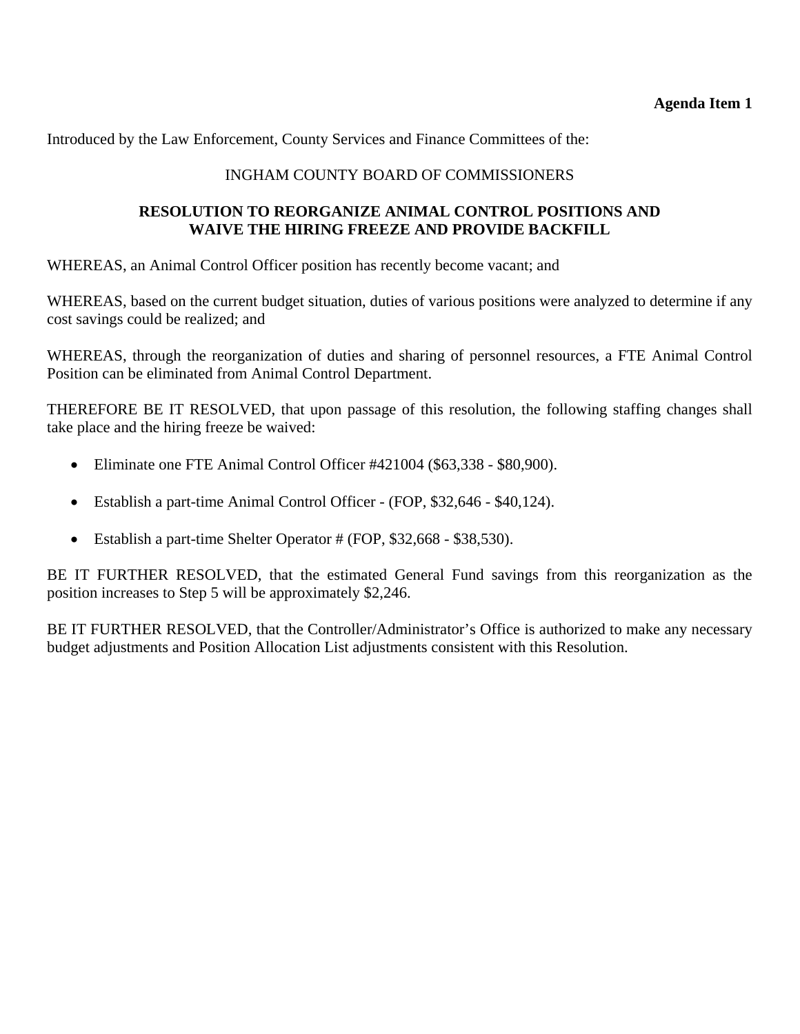Introduced by the Law Enforcement, County Services and Finance Committees of the:

### INGHAM COUNTY BOARD OF COMMISSIONERS

#### **RESOLUTION TO REORGANIZE ANIMAL CONTROL POSITIONS AND WAIVE THE HIRING FREEZE AND PROVIDE BACKFILL**

WHEREAS, an Animal Control Officer position has recently become vacant; and

WHEREAS, based on the current budget situation, duties of various positions were analyzed to determine if any cost savings could be realized; and

WHEREAS, through the reorganization of duties and sharing of personnel resources, a FTE Animal Control Position can be eliminated from Animal Control Department.

THEREFORE BE IT RESOLVED, that upon passage of this resolution, the following staffing changes shall take place and the hiring freeze be waived:

- Eliminate one FTE Animal Control Officer #421004 (\$63,338 \$80,900).
- Establish a part-time Animal Control Officer (FOP, \$32,646 \$40,124).
- Establish a part-time Shelter Operator # (FOP, \$32,668 \$38,530).

BE IT FURTHER RESOLVED, that the estimated General Fund savings from this reorganization as the position increases to Step 5 will be approximately \$2,246.

BE IT FURTHER RESOLVED, that the Controller/Administrator's Office is authorized to make any necessary budget adjustments and Position Allocation List adjustments consistent with this Resolution.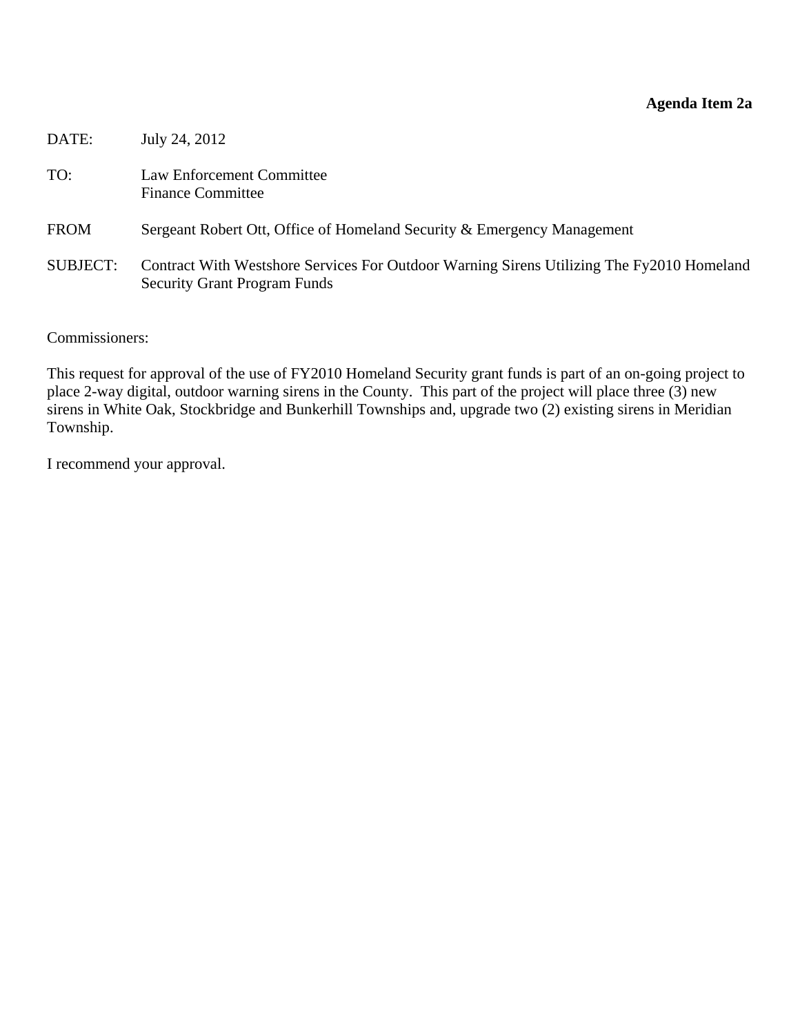## **Agenda Item 2a**

<span id="page-9-0"></span>

| DATE:           | July 24, 2012                                                                                                                    |
|-----------------|----------------------------------------------------------------------------------------------------------------------------------|
| TO:             | Law Enforcement Committee<br><b>Finance Committee</b>                                                                            |
| <b>FROM</b>     | Sergeant Robert Ott, Office of Homeland Security & Emergency Management                                                          |
| <b>SUBJECT:</b> | Contract With Westshore Services For Outdoor Warning Sirens Utilizing The Fy2010 Homeland<br><b>Security Grant Program Funds</b> |

Commissioners:

This request for approval of the use of FY2010 Homeland Security grant funds is part of an on-going project to place 2-way digital, outdoor warning sirens in the County. This part of the project will place three (3) new sirens in White Oak, Stockbridge and Bunkerhill Townships and, upgrade two (2) existing sirens in Meridian Township.

I recommend your approval.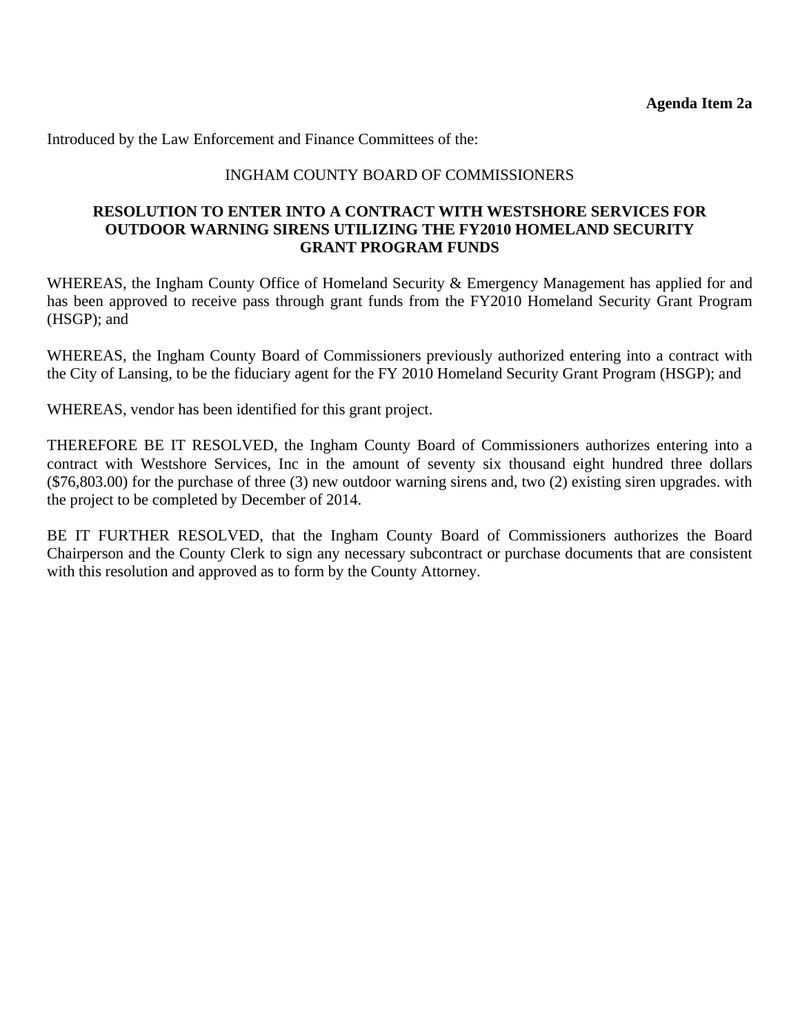Introduced by the Law Enforcement and Finance Committees of the:

#### INGHAM COUNTY BOARD OF COMMISSIONERS

#### **RESOLUTION TO ENTER INTO A CONTRACT WITH WESTSHORE SERVICES FOR OUTDOOR WARNING SIRENS UTILIZING THE FY2010 HOMELAND SECURITY GRANT PROGRAM FUNDS**

WHEREAS, the Ingham County Office of Homeland Security & Emergency Management has applied for and has been approved to receive pass through grant funds from the FY2010 Homeland Security Grant Program (HSGP); and

WHEREAS, the Ingham County Board of Commissioners previously authorized entering into a contract with the City of Lansing, to be the fiduciary agent for the FY 2010 Homeland Security Grant Program (HSGP); and

WHEREAS, vendor has been identified for this grant project.

THEREFORE BE IT RESOLVED, the Ingham County Board of Commissioners authorizes entering into a contract with Westshore Services, Inc in the amount of seventy six thousand eight hundred three dollars (\$76,803.00) for the purchase of three (3) new outdoor warning sirens and, two (2) existing siren upgrades. with the project to be completed by December of 2014.

BE IT FURTHER RESOLVED, that the Ingham County Board of Commissioners authorizes the Board Chairperson and the County Clerk to sign any necessary subcontract or purchase documents that are consistent with this resolution and approved as to form by the County Attorney.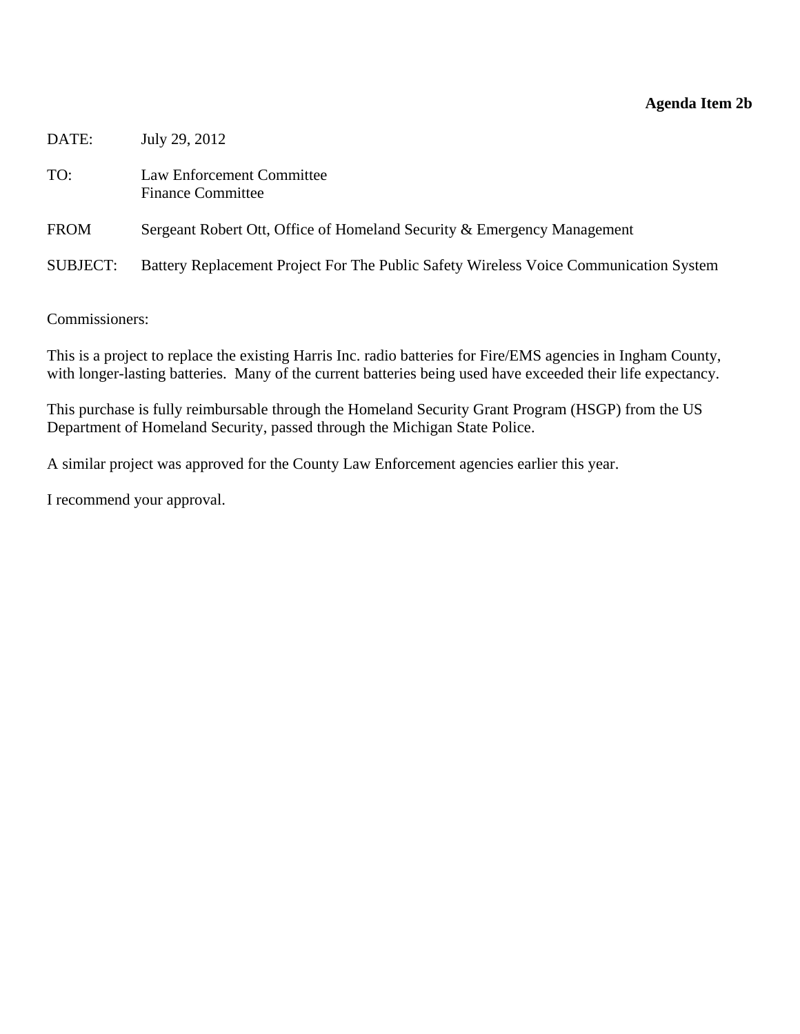# **Agenda Item 2b**

<span id="page-11-0"></span>

| DATE:           | July 29, 2012                                                                         |
|-----------------|---------------------------------------------------------------------------------------|
| TO:             | Law Enforcement Committee<br><b>Finance Committee</b>                                 |
| <b>FROM</b>     | Sergeant Robert Ott, Office of Homeland Security & Emergency Management               |
| <b>SUBJECT:</b> | Battery Replacement Project For The Public Safety Wireless Voice Communication System |

Commissioners:

This is a project to replace the existing Harris Inc. radio batteries for Fire/EMS agencies in Ingham County, with longer-lasting batteries. Many of the current batteries being used have exceeded their life expectancy.

This purchase is fully reimbursable through the Homeland Security Grant Program (HSGP) from the US Department of Homeland Security, passed through the Michigan State Police.

A similar project was approved for the County Law Enforcement agencies earlier this year.

I recommend your approval.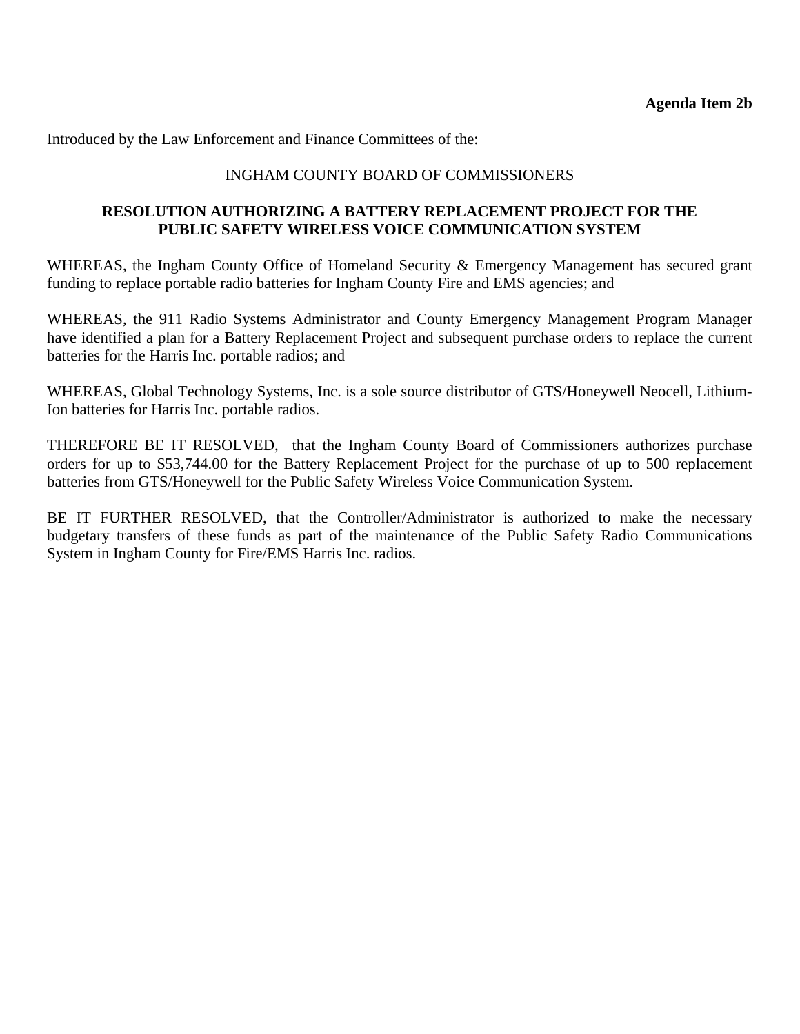Introduced by the Law Enforcement and Finance Committees of the:

#### INGHAM COUNTY BOARD OF COMMISSIONERS

#### **RESOLUTION AUTHORIZING A BATTERY REPLACEMENT PROJECT FOR THE PUBLIC SAFETY WIRELESS VOICE COMMUNICATION SYSTEM**

WHEREAS, the Ingham County Office of Homeland Security & Emergency Management has secured grant funding to replace portable radio batteries for Ingham County Fire and EMS agencies; and

WHEREAS, the 911 Radio Systems Administrator and County Emergency Management Program Manager have identified a plan for a Battery Replacement Project and subsequent purchase orders to replace the current batteries for the Harris Inc. portable radios; and

WHEREAS, Global Technology Systems, Inc. is a sole source distributor of GTS/Honeywell Neocell, Lithium-Ion batteries for Harris Inc. portable radios.

THEREFORE BE IT RESOLVED, that the Ingham County Board of Commissioners authorizes purchase orders for up to \$53,744.00 for the Battery Replacement Project for the purchase of up to 500 replacement batteries from GTS/Honeywell for the Public Safety Wireless Voice Communication System.

BE IT FURTHER RESOLVED, that the Controller/Administrator is authorized to make the necessary budgetary transfers of these funds as part of the maintenance of the Public Safety Radio Communications System in Ingham County for Fire/EMS Harris Inc. radios.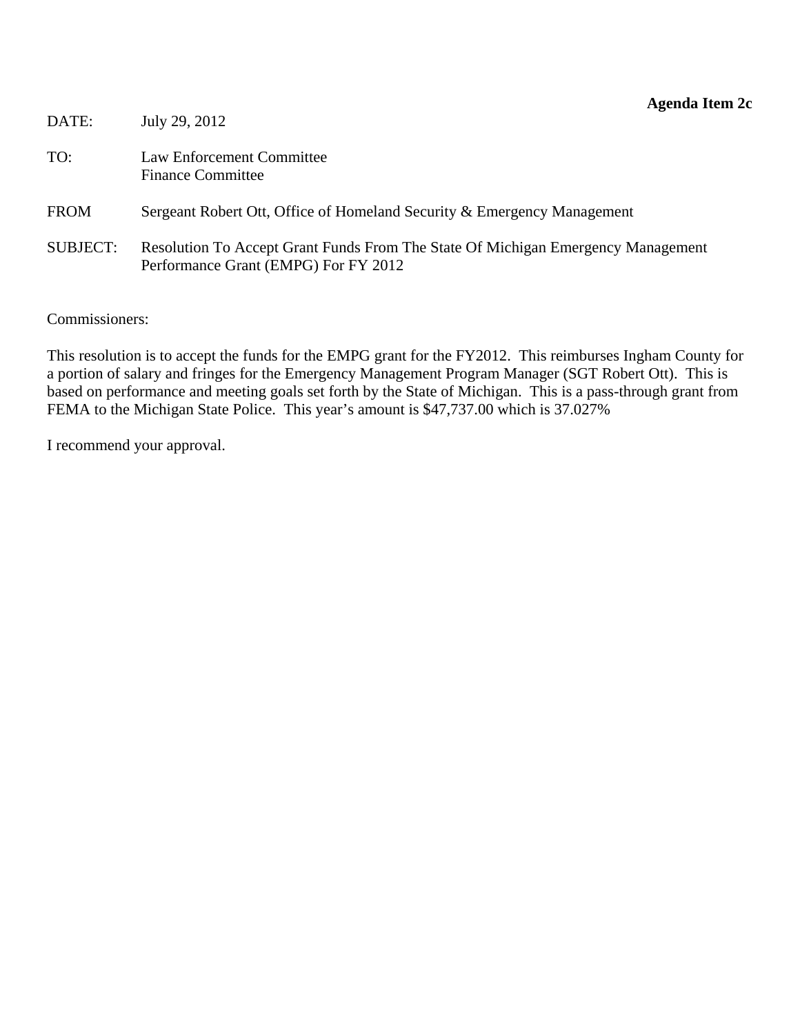<span id="page-13-0"></span>

| DATE:           | July 29, 2012                                                                                                            |
|-----------------|--------------------------------------------------------------------------------------------------------------------------|
| TO:             | Law Enforcement Committee<br><b>Finance Committee</b>                                                                    |
| <b>FROM</b>     | Sergeant Robert Ott, Office of Homeland Security & Emergency Management                                                  |
| <b>SUBJECT:</b> | Resolution To Accept Grant Funds From The State Of Michigan Emergency Management<br>Performance Grant (EMPG) For FY 2012 |

Commissioners:

This resolution is to accept the funds for the EMPG grant for the FY2012. This reimburses Ingham County for a portion of salary and fringes for the Emergency Management Program Manager (SGT Robert Ott). This is based on performance and meeting goals set forth by the State of Michigan. This is a pass-through grant from FEMA to the Michigan State Police. This year's amount is \$47,737.00 which is 37.027%

I recommend your approval.

#### **Agenda Item 2c**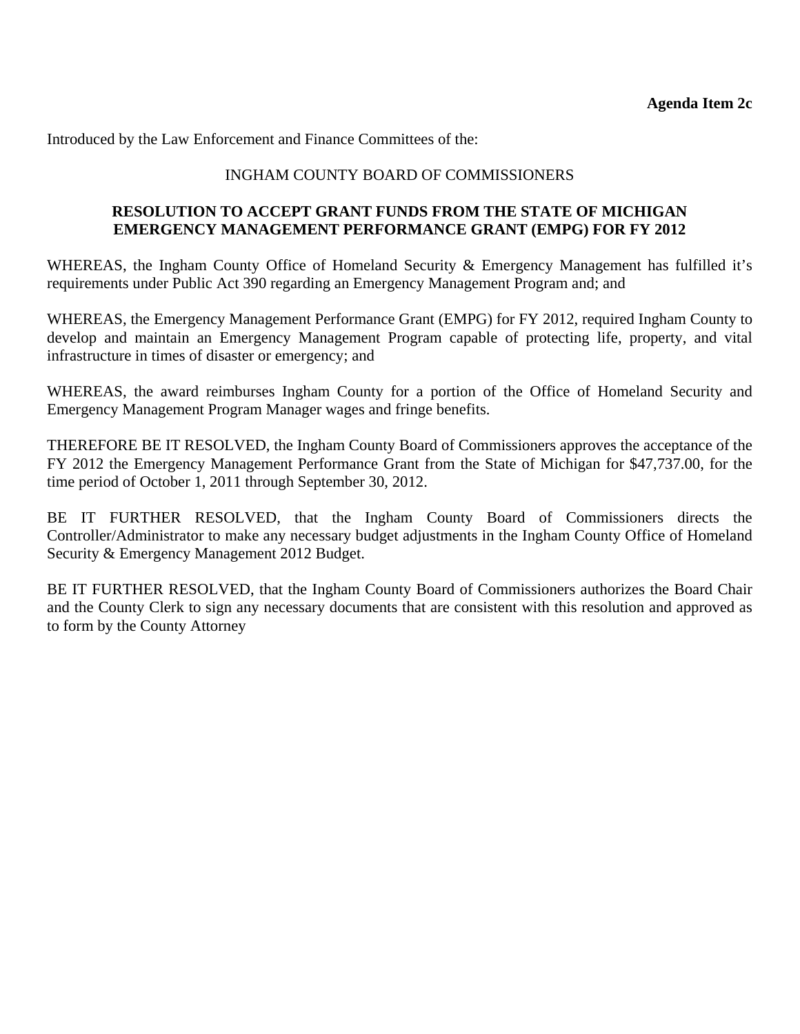Introduced by the Law Enforcement and Finance Committees of the:

#### INGHAM COUNTY BOARD OF COMMISSIONERS

#### **RESOLUTION TO ACCEPT GRANT FUNDS FROM THE STATE OF MICHIGAN EMERGENCY MANAGEMENT PERFORMANCE GRANT (EMPG) FOR FY 2012**

WHEREAS, the Ingham County Office of Homeland Security & Emergency Management has fulfilled it's requirements under Public Act 390 regarding an Emergency Management Program and; and

WHEREAS, the Emergency Management Performance Grant (EMPG) for FY 2012, required Ingham County to develop and maintain an Emergency Management Program capable of protecting life, property, and vital infrastructure in times of disaster or emergency; and

WHEREAS, the award reimburses Ingham County for a portion of the Office of Homeland Security and Emergency Management Program Manager wages and fringe benefits.

THEREFORE BE IT RESOLVED, the Ingham County Board of Commissioners approves the acceptance of the FY 2012 the Emergency Management Performance Grant from the State of Michigan for \$47,737.00, for the time period of October 1, 2011 through September 30, 2012.

BE IT FURTHER RESOLVED, that the Ingham County Board of Commissioners directs the Controller/Administrator to make any necessary budget adjustments in the Ingham County Office of Homeland Security & Emergency Management 2012 Budget.

BE IT FURTHER RESOLVED, that the Ingham County Board of Commissioners authorizes the Board Chair and the County Clerk to sign any necessary documents that are consistent with this resolution and approved as to form by the County Attorney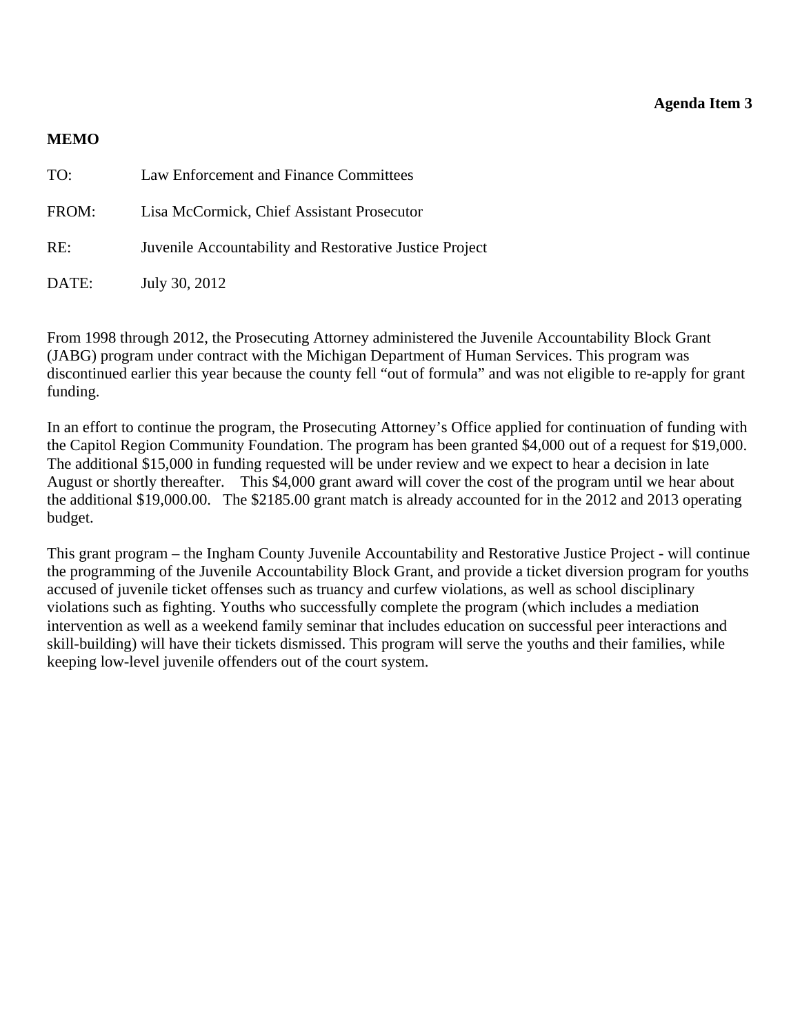#### **Agenda Item 3**

#### <span id="page-15-0"></span>**MEMO**

| TO:   | Law Enforcement and Finance Committees                  |
|-------|---------------------------------------------------------|
| FROM: | Lisa McCormick, Chief Assistant Prosecutor              |
| RE:   | Juvenile Accountability and Restorative Justice Project |
| DATE: | July 30, 2012                                           |

From 1998 through 2012, the Prosecuting Attorney administered the Juvenile Accountability Block Grant (JABG) program under contract with the Michigan Department of Human Services. This program was discontinued earlier this year because the county fell "out of formula" and was not eligible to re-apply for grant funding.

In an effort to continue the program, the Prosecuting Attorney's Office applied for continuation of funding with the Capitol Region Community Foundation. The program has been granted \$4,000 out of a request for \$19,000. The additional \$15,000 in funding requested will be under review and we expect to hear a decision in late August or shortly thereafter. This \$4,000 grant award will cover the cost of the program until we hear about the additional \$19,000.00. The \$2185.00 grant match is already accounted for in the 2012 and 2013 operating budget.

This grant program – the Ingham County Juvenile Accountability and Restorative Justice Project - will continue the programming of the Juvenile Accountability Block Grant, and provide a ticket diversion program for youths accused of juvenile ticket offenses such as truancy and curfew violations, as well as school disciplinary violations such as fighting. Youths who successfully complete the program (which includes a mediation intervention as well as a weekend family seminar that includes education on successful peer interactions and skill-building) will have their tickets dismissed. This program will serve the youths and their families, while keeping low-level juvenile offenders out of the court system.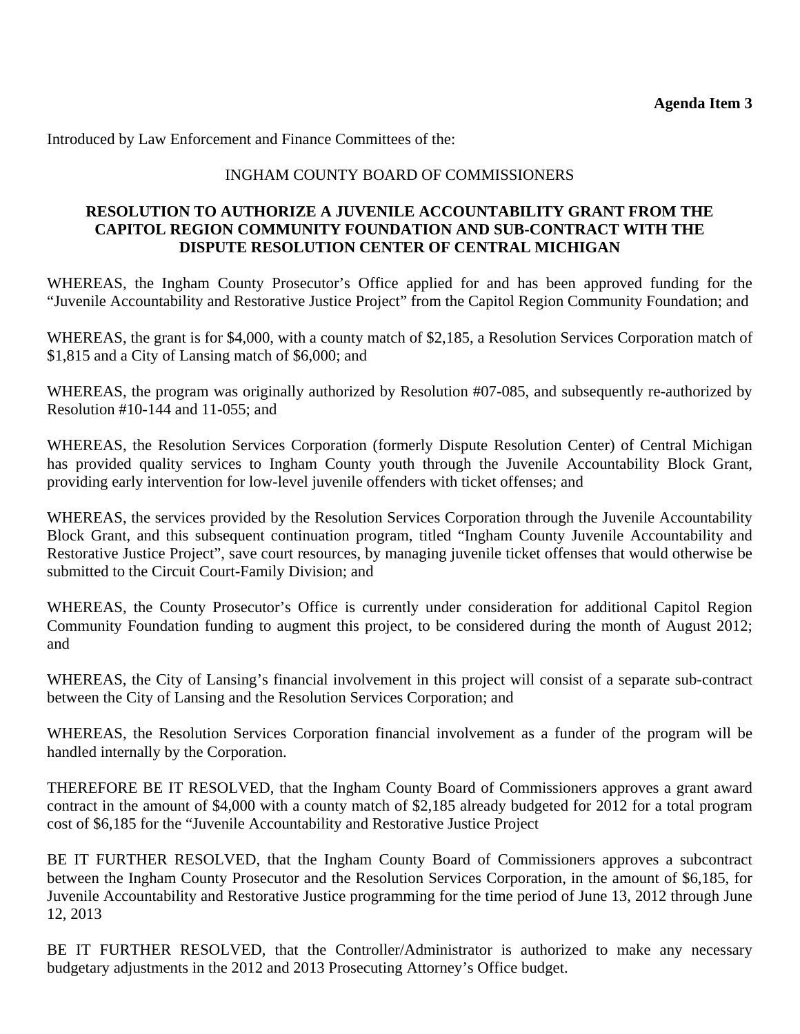Introduced by Law Enforcement and Finance Committees of the:

#### INGHAM COUNTY BOARD OF COMMISSIONERS

#### **RESOLUTION TO AUTHORIZE A JUVENILE ACCOUNTABILITY GRANT FROM THE CAPITOL REGION COMMUNITY FOUNDATION AND SUB-CONTRACT WITH THE DISPUTE RESOLUTION CENTER OF CENTRAL MICHIGAN**

WHEREAS, the Ingham County Prosecutor's Office applied for and has been approved funding for the "Juvenile Accountability and Restorative Justice Project" from the Capitol Region Community Foundation; and

WHEREAS, the grant is for \$4,000, with a county match of \$2,185, a Resolution Services Corporation match of \$1,815 and a City of Lansing match of \$6,000; and

WHEREAS, the program was originally authorized by Resolution #07-085, and subsequently re-authorized by Resolution #10-144 and 11-055; and

WHEREAS, the Resolution Services Corporation (formerly Dispute Resolution Center) of Central Michigan has provided quality services to Ingham County youth through the Juvenile Accountability Block Grant, providing early intervention for low-level juvenile offenders with ticket offenses; and

WHEREAS, the services provided by the Resolution Services Corporation through the Juvenile Accountability Block Grant, and this subsequent continuation program, titled "Ingham County Juvenile Accountability and Restorative Justice Project", save court resources, by managing juvenile ticket offenses that would otherwise be submitted to the Circuit Court-Family Division; and

WHEREAS, the County Prosecutor's Office is currently under consideration for additional Capitol Region Community Foundation funding to augment this project, to be considered during the month of August 2012; and

WHEREAS, the City of Lansing's financial involvement in this project will consist of a separate sub-contract between the City of Lansing and the Resolution Services Corporation; and

WHEREAS, the Resolution Services Corporation financial involvement as a funder of the program will be handled internally by the Corporation.

THEREFORE BE IT RESOLVED, that the Ingham County Board of Commissioners approves a grant award contract in the amount of \$4,000 with a county match of \$2,185 already budgeted for 2012 for a total program cost of \$6,185 for the "Juvenile Accountability and Restorative Justice Project

BE IT FURTHER RESOLVED, that the Ingham County Board of Commissioners approves a subcontract between the Ingham County Prosecutor and the Resolution Services Corporation, in the amount of \$6,185, for Juvenile Accountability and Restorative Justice programming for the time period of June 13, 2012 through June 12, 2013

BE IT FURTHER RESOLVED, that the Controller/Administrator is authorized to make any necessary budgetary adjustments in the 2012 and 2013 Prosecuting Attorney's Office budget.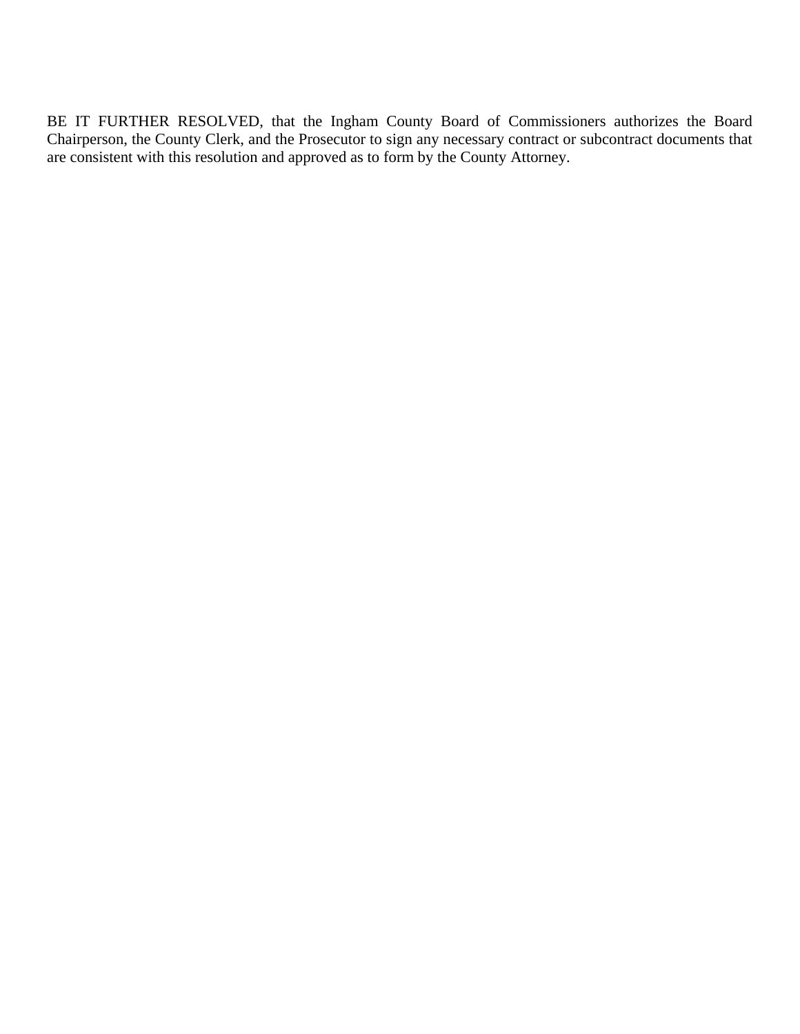BE IT FURTHER RESOLVED, that the Ingham County Board of Commissioners authorizes the Board Chairperson, the County Clerk, and the Prosecutor to sign any necessary contract or subcontract documents that are consistent with this resolution and approved as to form by the County Attorney.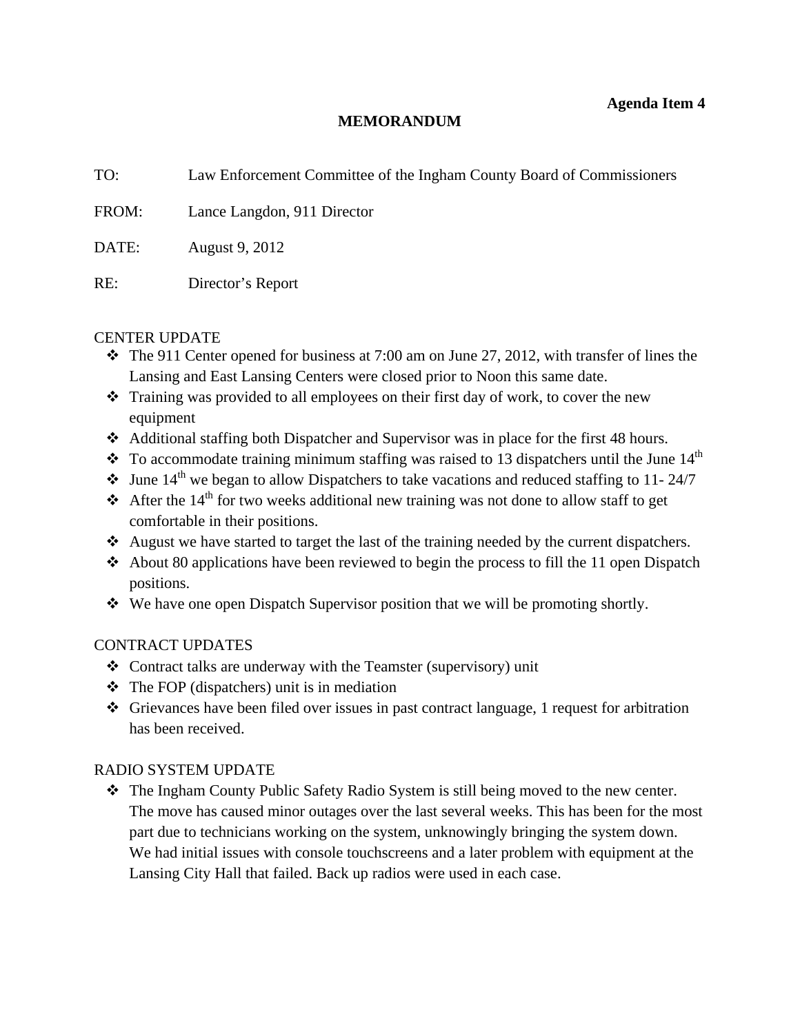#### **MEMORANDUM**

<span id="page-18-0"></span>

| TO:   | Law Enforcement Committee of the Ingham County Board of Commissioners |
|-------|-----------------------------------------------------------------------|
| FROM: | Lance Langdon, 911 Director                                           |
| DATE: | August 9, 2012                                                        |
| RE:   | Director's Report                                                     |

#### CENTER UPDATE

- The 911 Center opened for business at 7:00 am on June 27, 2012, with transfer of lines the Lansing and East Lansing Centers were closed prior to Noon this same date.
- Training was provided to all employees on their first day of work, to cover the new equipment
- Additional staffing both Dispatcher and Supervisor was in place for the first 48 hours.
- $\cdot$  To accommodate training minimum staffing was raised to 13 dispatchers until the June 14<sup>th</sup>
- $\cdot$  June 14<sup>th</sup> we began to allow Dispatchers to take vacations and reduced staffing to 11-24/7
- After the 14<sup>th</sup> for two weeks additional new training was not done to allow staff to get comfortable in their positions.
- August we have started to target the last of the training needed by the current dispatchers.
- $\triangleleft$  About 80 applications have been reviewed to begin the process to fill the 11 open Dispatch positions.
- $\bullet\bullet\text{ We have one open Dispatch Supervisor position that we will be promoting shortly.}$

#### CONTRACT UPDATES

- Contract talks are underway with the Teamster (supervisory) unit
- $\triangleleft$  The FOP (dispatchers) unit is in mediation
- Grievances have been filed over issues in past contract language, 1 request for arbitration has been received.

#### RADIO SYSTEM UPDATE

 The Ingham County Public Safety Radio System is still being moved to the new center. The move has caused minor outages over the last several weeks. This has been for the most part due to technicians working on the system, unknowingly bringing the system down. We had initial issues with console touchscreens and a later problem with equipment at the Lansing City Hall that failed. Back up radios were used in each case.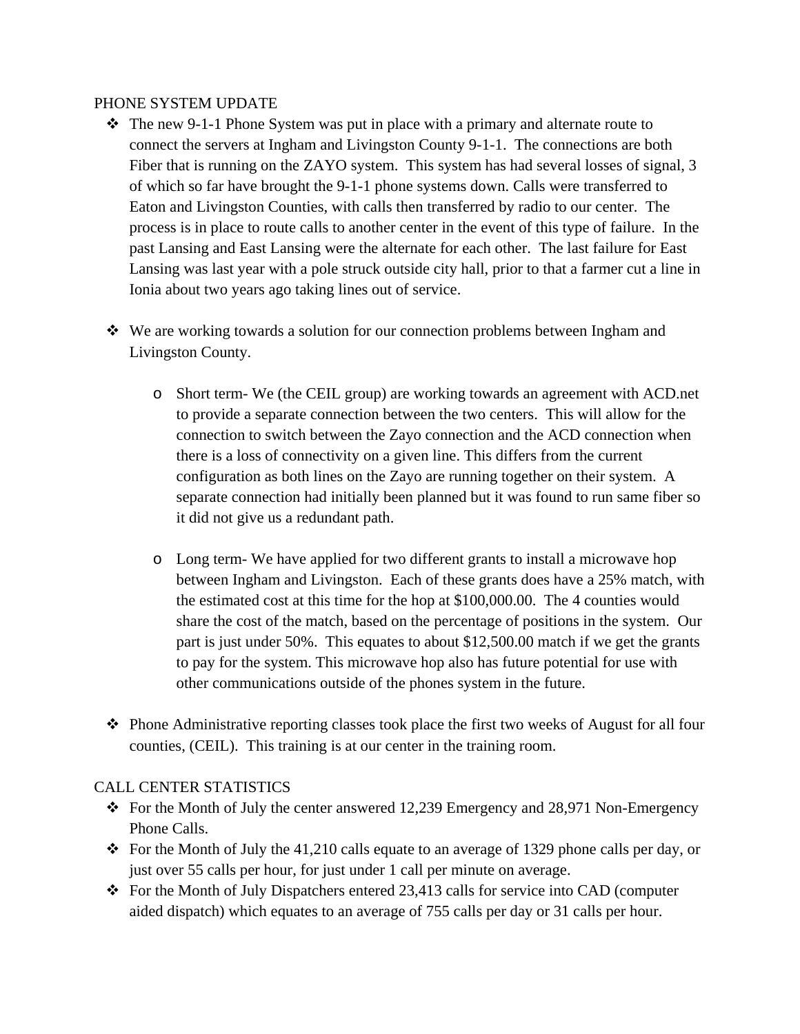#### PHONE SYSTEM UPDATE

- $\div$  The new 9-1-1 Phone System was put in place with a primary and alternate route to connect the servers at Ingham and Livingston County 9-1-1. The connections are both Fiber that is running on the ZAYO system. This system has had several losses of signal, 3 of which so far have brought the 9-1-1 phone systems down. Calls were transferred to Eaton and Livingston Counties, with calls then transferred by radio to our center. The process is in place to route calls to another center in the event of this type of failure. In the past Lansing and East Lansing were the alternate for each other. The last failure for East Lansing was last year with a pole struck outside city hall, prior to that a farmer cut a line in Ionia about two years ago taking lines out of service.
- We are working towards a solution for our connection problems between Ingham and Livingston County.
	- o Short term- We (the CEIL group) are working towards an agreement with ACD.net to provide a separate connection between the two centers. This will allow for the connection to switch between the Zayo connection and the ACD connection when there is a loss of connectivity on a given line. This differs from the current configuration as both lines on the Zayo are running together on their system. A separate connection had initially been planned but it was found to run same fiber so it did not give us a redundant path.
	- o Long term- We have applied for two different grants to install a microwave hop between Ingham and Livingston. Each of these grants does have a 25% match, with the estimated cost at this time for the hop at \$100,000.00. The 4 counties would share the cost of the match, based on the percentage of positions in the system. Our part is just under 50%. This equates to about \$12,500.00 match if we get the grants to pay for the system. This microwave hop also has future potential for use with other communications outside of the phones system in the future.
- Phone Administrative reporting classes took place the first two weeks of August for all four counties, (CEIL). This training is at our center in the training room.

#### CALL CENTER STATISTICS

- For the Month of July the center answered 12,239 Emergency and 28,971 Non-Emergency Phone Calls.
- $\bullet$  For the Month of July the 41,210 calls equate to an average of 1329 phone calls per day, or just over 55 calls per hour, for just under 1 call per minute on average.
- For the Month of July Dispatchers entered 23,413 calls for service into CAD (computer aided dispatch) which equates to an average of 755 calls per day or 31 calls per hour.